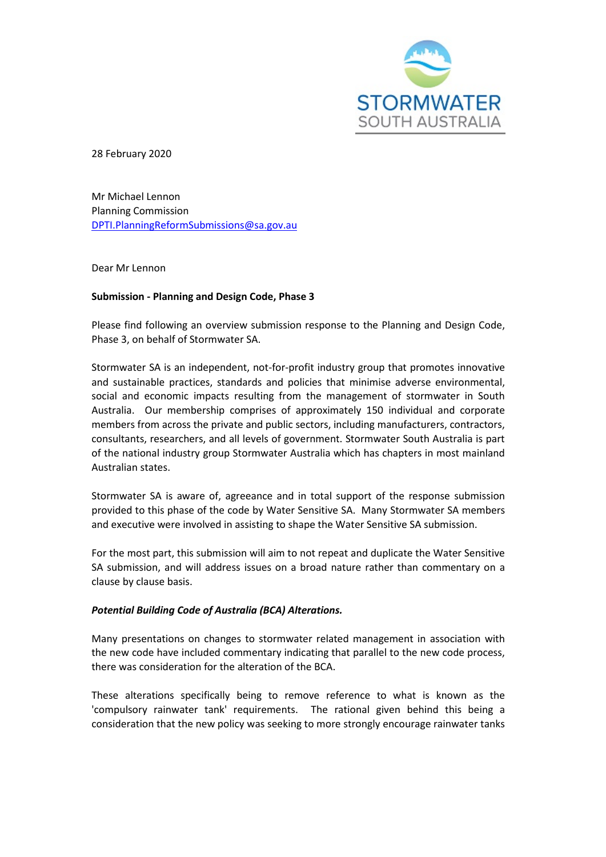

28 February 2020

Mr Michael Lennon Planning Commission [DPTI.PlanningReformSubmissions@sa.gov.au](mailto:DPTI.PlanningReformSubmissions@sa.gov.au) 

Dear Mr Lennon

# **Submission - Planning and Design Code, Phase 3**

Please find following an overview submission response to the Planning and Design Code, Phase 3, on behalf of Stormwater SA.

Stormwater SA is an independent, not-for-profit industry group that promotes innovative and sustainable practices, standards and policies that minimise adverse environmental, social and economic impacts resulting from the management of stormwater in South Australia. Our membership comprises of approximately 150 individual and corporate members from across the private and public sectors, including manufacturers, contractors, consultants, researchers, and all levels of government. Stormwater South Australia is part of the national industry group Stormwater Australia which has chapters in most mainland Australian states.

Stormwater SA is aware of, agreeance and in total support of the response submission provided to this phase of the code by Water Sensitive SA. Many Stormwater SA members and executive were involved in assisting to shape the Water Sensitive SA submission.

For the most part, this submission will aim to not repeat and duplicate the Water Sensitive SA submission, and will address issues on a broad nature rather than commentary on a clause by clause basis.

# *Potential Building Code of Australia (BCA) Alterations.*

Many presentations on changes to stormwater related management in association with the new code have included commentary indicating that parallel to the new code process, there was consideration for the alteration of the BCA.

These alterations specifically being to remove reference to what is known as the 'compulsory rainwater tank' requirements. The rational given behind this being a consideration that the new policy was seeking to more strongly encourage rainwater tanks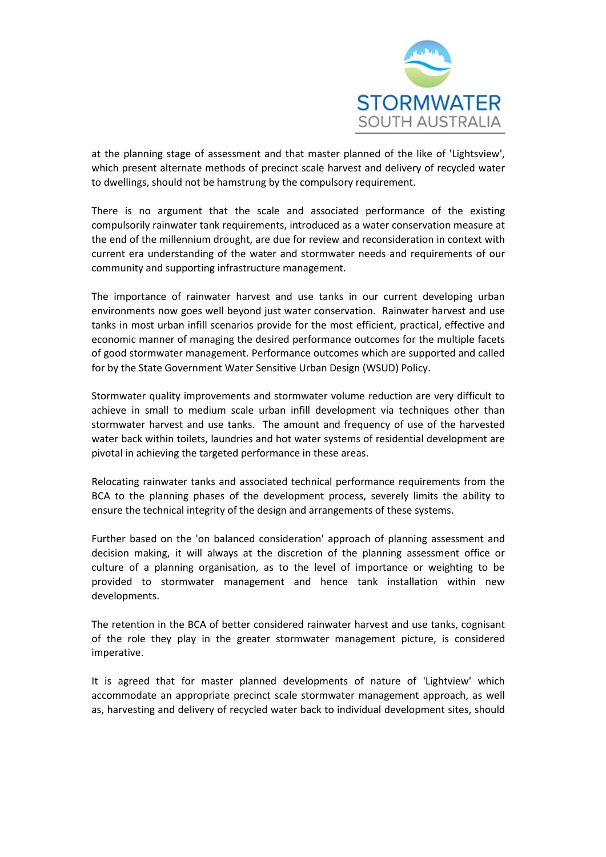

at the planning stage of assessment and that master planned of the like of 'Lightsview', which present alternate methods of precinct scale harvest and delivery of recycled water to dwellings, should not be hamstrung by the compulsory requirement.

There is no argument that the scale and associated performance of the existing compulsorily rainwater tank requirements, introduced as a water conservation measure at the end of the millennium drought, are due for review and reconsideration in context with current era understanding of the water and stormwater needs and requirements of our community and supporting infrastructure management.

The importance of rainwater harvest and use tanks in our current developing urban environments now goes well beyond just water conservation. Rainwater harvest and use tanks in most urban infill scenarios provide for the most efficient, practical, effective and economic manner of managing the desired performance outcomes for the multiple facets of good stormwater management. Performance outcomes which are supported and called for by the State Government Water Sensitive Urban Design (WSUD) Policy.

Stormwater quality improvements and stormwater volume reduction are very difficult to achieve in small to medium scale urban infill development via techniques other than stormwater harvest and use tanks. The amount and frequency of use of the harvested water back within toilets, laundries and hot water systems of residential development are pivotal in achieving the targeted performance in these areas.

Relocating rainwater tanks and associated technical performance requirements from the BCA to the planning phases of the development process, severely limits the ability to ensure the technical integrity of the design and arrangements of these systems.

Further based on the 'on balanced consideration' approach of planning assessment and decision making, it will always at the discretion of the planning assessment office or culture of a planning organisation, as to the level of importance or weighting to be provided to stormwater management and hence tank installation within new developments.

The retention in the BCA of better considered rainwater harvest and use tanks, cognisant of the role they play in the greater stormwater management picture, is considered imperative.

It is agreed that for master planned developments of nature of 'Lightview' which accommodate an appropriate precinct scale stormwater management approach, as well as, harvesting and delivery of recycled water back to individual development sites, should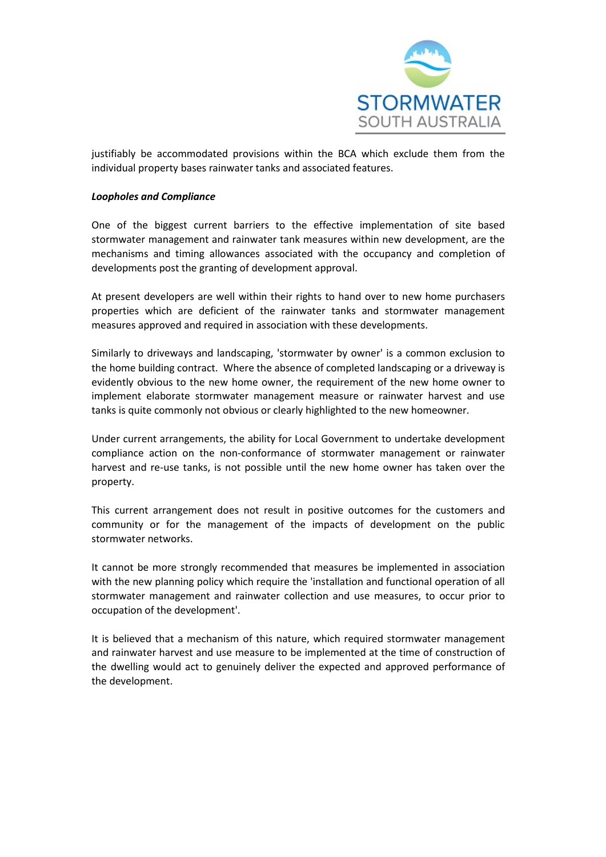

justifiably be accommodated provisions within the BCA which exclude them from the individual property bases rainwater tanks and associated features.

### *Loopholes and Compliance*

One of the biggest current barriers to the effective implementation of site based stormwater management and rainwater tank measures within new development, are the mechanisms and timing allowances associated with the occupancy and completion of developments post the granting of development approval.

At present developers are well within their rights to hand over to new home purchasers properties which are deficient of the rainwater tanks and stormwater management measures approved and required in association with these developments.

Similarly to driveways and landscaping, 'stormwater by owner' is a common exclusion to the home building contract. Where the absence of completed landscaping or a driveway is evidently obvious to the new home owner, the requirement of the new home owner to implement elaborate stormwater management measure or rainwater harvest and use tanks is quite commonly not obvious or clearly highlighted to the new homeowner.

Under current arrangements, the ability for Local Government to undertake development compliance action on the non-conformance of stormwater management or rainwater harvest and re-use tanks, is not possible until the new home owner has taken over the property.

This current arrangement does not result in positive outcomes for the customers and community or for the management of the impacts of development on the public stormwater networks.

It cannot be more strongly recommended that measures be implemented in association with the new planning policy which require the 'installation and functional operation of all stormwater management and rainwater collection and use measures, to occur prior to occupation of the development'.

It is believed that a mechanism of this nature, which required stormwater management and rainwater harvest and use measure to be implemented at the time of construction of the dwelling would act to genuinely deliver the expected and approved performance of the development.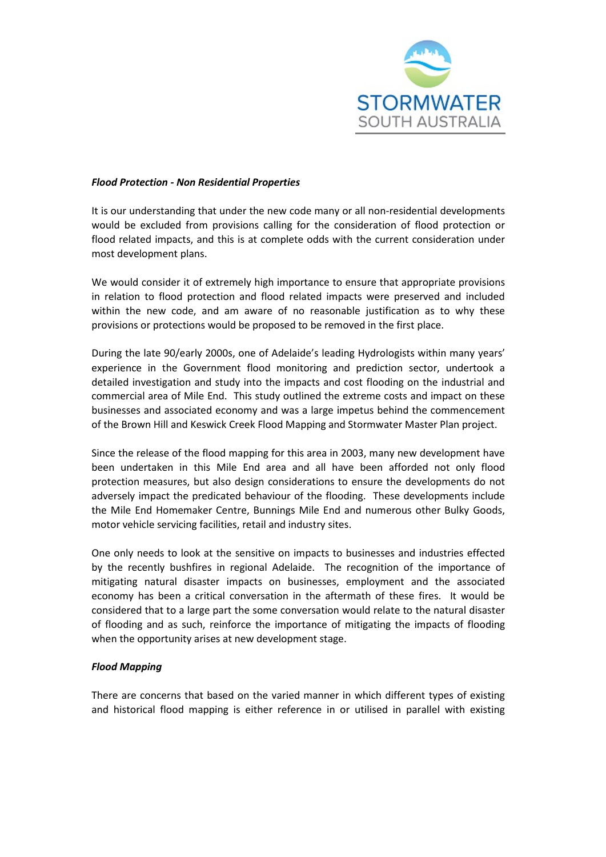

### *Flood Protection - Non Residential Properties*

It is our understanding that under the new code many or all non-residential developments would be excluded from provisions calling for the consideration of flood protection or flood related impacts, and this is at complete odds with the current consideration under most development plans.

We would consider it of extremely high importance to ensure that appropriate provisions in relation to flood protection and flood related impacts were preserved and included within the new code, and am aware of no reasonable justification as to why these provisions or protections would be proposed to be removed in the first place.

During the late 90/early 2000s, one of Adelaide's leading Hydrologists within many years' experience in the Government flood monitoring and prediction sector, undertook a detailed investigation and study into the impacts and cost flooding on the industrial and commercial area of Mile End. This study outlined the extreme costs and impact on these businesses and associated economy and was a large impetus behind the commencement of the Brown Hill and Keswick Creek Flood Mapping and Stormwater Master Plan project.

Since the release of the flood mapping for this area in 2003, many new development have been undertaken in this Mile End area and all have been afforded not only flood protection measures, but also design considerations to ensure the developments do not adversely impact the predicated behaviour of the flooding. These developments include the Mile End Homemaker Centre, Bunnings Mile End and numerous other Bulky Goods, motor vehicle servicing facilities, retail and industry sites.

One only needs to look at the sensitive on impacts to businesses and industries effected by the recently bushfires in regional Adelaide. The recognition of the importance of mitigating natural disaster impacts on businesses, employment and the associated economy has been a critical conversation in the aftermath of these fires. It would be considered that to a large part the some conversation would relate to the natural disaster of flooding and as such, reinforce the importance of mitigating the impacts of flooding when the opportunity arises at new development stage.

# *Flood Mapping*

There are concerns that based on the varied manner in which different types of existing and historical flood mapping is either reference in or utilised in parallel with existing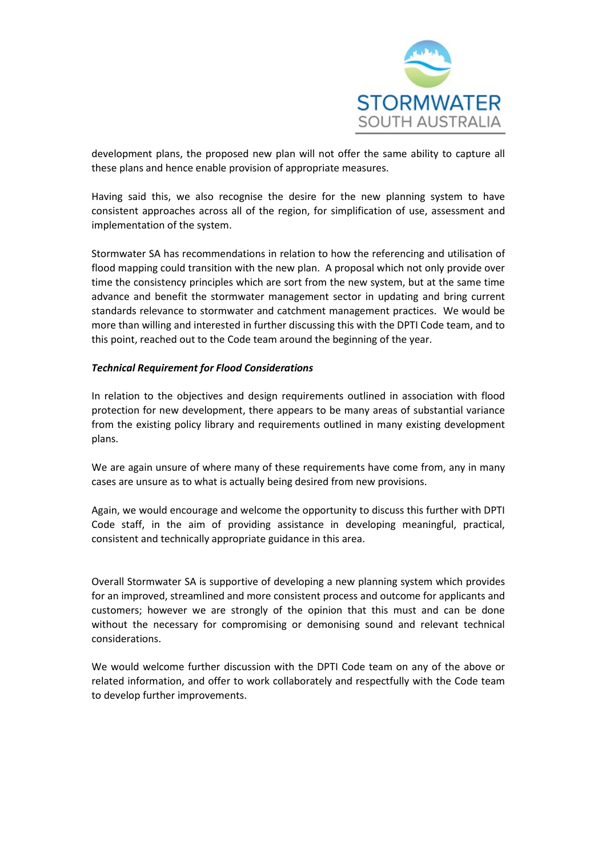

development plans, the proposed new plan will not offer the same ability to capture all these plans and hence enable provision of appropriate measures.

Having said this, we also recognise the desire for the new planning system to have consistent approaches across all of the region, for simplification of use, assessment and implementation of the system.

Stormwater SA has recommendations in relation to how the referencing and utilisation of flood mapping could transition with the new plan. A proposal which not only provide over time the consistency principles which are sort from the new system, but at the same time advance and benefit the stormwater management sector in updating and bring current standards relevance to stormwater and catchment management practices. We would be more than willing and interested in further discussing this with the DPTI Code team, and to this point, reached out to the Code team around the beginning of the year.

# *Technical Requirement for Flood Considerations*

In relation to the objectives and design requirements outlined in association with flood protection for new development, there appears to be many areas of substantial variance from the existing policy library and requirements outlined in many existing development plans.

We are again unsure of where many of these requirements have come from, any in many cases are unsure as to what is actually being desired from new provisions.

Again, we would encourage and welcome the opportunity to discuss this further with DPTI Code staff, in the aim of providing assistance in developing meaningful, practical, consistent and technically appropriate guidance in this area.

Overall Stormwater SA is supportive of developing a new planning system which provides for an improved, streamlined and more consistent process and outcome for applicants and customers; however we are strongly of the opinion that this must and can be done without the necessary for compromising or demonising sound and relevant technical considerations.

We would welcome further discussion with the DPTI Code team on any of the above or related information, and offer to work collaborately and respectfully with the Code team to develop further improvements.